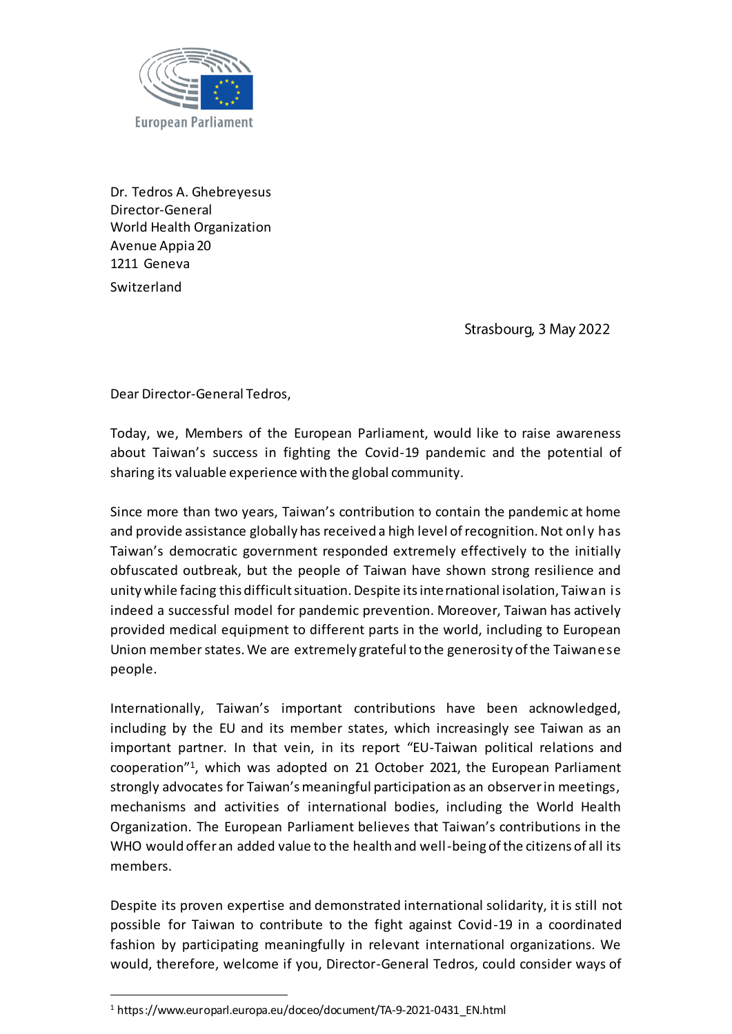

Dr. Tedros A. Ghebreyesus Director-General World Health Organization Avenue Appia 20 1211 Geneva Switzerland

Strasbourg, 3 May 2022

Dear Director-General Tedros,

Today, we, Members of the European Parliament, would like to raise awareness about Taiwan's success in fighting the Covid-19 pandemic and the potential of sharing its valuable experience with the global community.

Since more than two years, Taiwan's contribution to contain the pandemic at home and provide assistance globally has received a high level of recognition. Not only has Taiwan's democratic government responded extremely effectively to the initially obfuscated outbreak, but the people of Taiwan have shown strong resilience and unity while facing this difficult situation. Despite its international isolation, Taiwan is indeed a successful model for pandemic prevention. Moreover, Taiwan has actively provided medical equipment to different parts in the world, including to European Union member states. We are extremely grateful to the generosity of the Taiwanese people.

Internationally, Taiwan's important contributions have been acknowledged, including by the EU and its member states, which increasingly see Taiwan as an important partner. In that vein, in its report "EU-Taiwan political relations and cooperation"<sup>1</sup> , which was adopted on 21 October 2021, the European Parliament strongly advocates for Taiwan's meaningful participation as an observer in meetings, mechanisms and activities of international bodies, including the World Health Organization. The European Parliament believes that Taiwan's contributions in the WHO would offer an added value to the health and well-being of the citizens of all its members.

Despite its proven expertise and demonstrated international solidarity, it is still not possible for Taiwan to contribute to the fight against Covid-19 in a coordinated fashion by participating meaningfully in relevant international organizations. We would, therefore, welcome if you, Director-General Tedros, could consider ways of

l

<sup>1</sup> https://www.europarl.europa.eu/doceo/document/TA-9-2021-0431\_EN.html